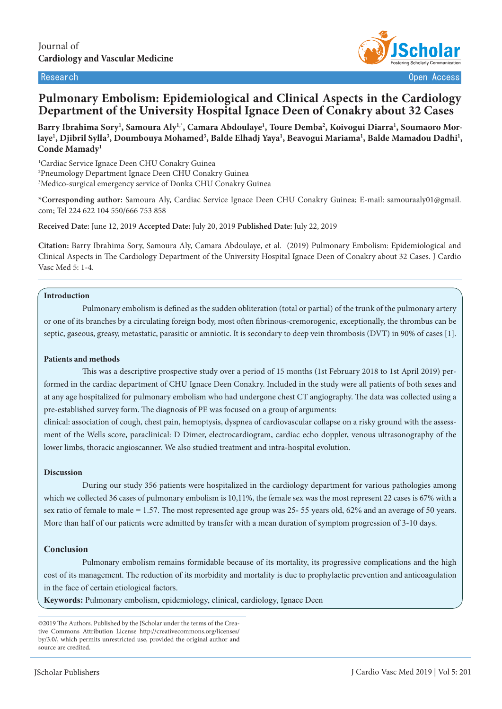

Research Open Access

# **Pulmonary Embolism: Epidemiological and Clinical Aspects in the Cardiology Department of the University Hospital Ignace Deen of Conakry about 32 Cases**

Barry Ibrahima Sory<sup>1</sup>, Samoura Aly<sup>1,</sup>\*, Camara Abdoulaye<sup>1</sup>, Toure Demba<sup>2</sup>, Koivogui Diarra<sup>1</sup>, Soumaoro Morlaye<sup>1</sup>, Djibril Sylla<sup>3</sup>, Doumbouya Mohamed<sup>3</sup>, Balde Elhadj Yaya<sup>1</sup>, Beavogui Mariama<sup>1</sup>, Balde Mamadou Dadhi<sup>1</sup>, **Conde Mamady1**

1 Cardiac Service Ignace Deen CHU Conakry Guinea 2 Pneumology Department Ignace Deen CHU Conakry Guinea 3 Medico-surgical emergency service of Donka CHU Conakry Guinea

**\*Corresponding author:** Samoura Aly, Cardiac Service Ignace Deen CHU Conakry Guinea; E-mail: samouraaly01@gmail. com; Tel 224 622 104 550/666 753 858

**Received Date:** June 12, 2019 **Accepted Date:** July 20, 2019 **Published Date:** July 22, 2019

**Citation:** Barry Ibrahima Sory, Samoura Aly, Camara Abdoulaye, et al. (2019) Pulmonary Embolism: Epidemiological and Clinical Aspects in The Cardiology Department of the University Hospital Ignace Deen of Conakry about 32 Cases. J Cardio Vasc Med 5: 1-4.

#### **Introduction**

Pulmonary embolism is defined as the sudden obliteration (total or partial) of the trunk of the pulmonary artery or one of its branches by a circulating foreign body, most often fibrinous-cremorogenic, exceptionally, the thrombus can be septic, gaseous, greasy, metastatic, parasitic or amniotic. It is secondary to deep vein thrombosis (DVT) in 90% of cases [1].

#### **Patients and methods**

This was a descriptive prospective study over a period of 15 months (1st February 2018 to 1st April 2019) performed in the cardiac department of CHU Ignace Deen Conakry. Included in the study were all patients of both sexes and at any age hospitalized for pulmonary embolism who had undergone chest CT angiography. The data was collected using a pre-established survey form. The diagnosis of PE was focused on a group of arguments:

clinical: association of cough, chest pain, hemoptysis, dyspnea of cardiovascular collapse on a risky ground with the assessment of the Wells score, paraclinical: D Dimer, electrocardiogram, cardiac echo doppler, venous ultrasonography of the lower limbs, thoracic angioscanner. We also studied treatment and intra-hospital evolution.

#### **Discussion**

During our study 356 patients were hospitalized in the cardiology department for various pathologies among which we collected 36 cases of pulmonary embolism is 10,11%, the female sex was the most represent 22 cases is 67% with a sex ratio of female to male = 1.57. The most represented age group was 25- 55 years old, 62% and an average of 50 years. More than half of our patients were admitted by transfer with a mean duration of symptom progression of 3-10 days.

#### **Conclusion**

Pulmonary embolism remains formidable because of its mortality, its progressive complications and the high cost of its management. The reduction of its morbidity and mortality is due to prophylactic prevention and anticoagulation in the face of certain etiological factors.

**Keywords:** Pulmonary embolism, epidemiology, clinical, cardiology, Ignace Deen

<sup>©2019</sup> The Authors. Published by the JScholar under the terms of the Creative Commons Attribution License http://creativecommons.org/licenses/ by/3.0/, which permits unrestricted use, provided the original author and source are credited.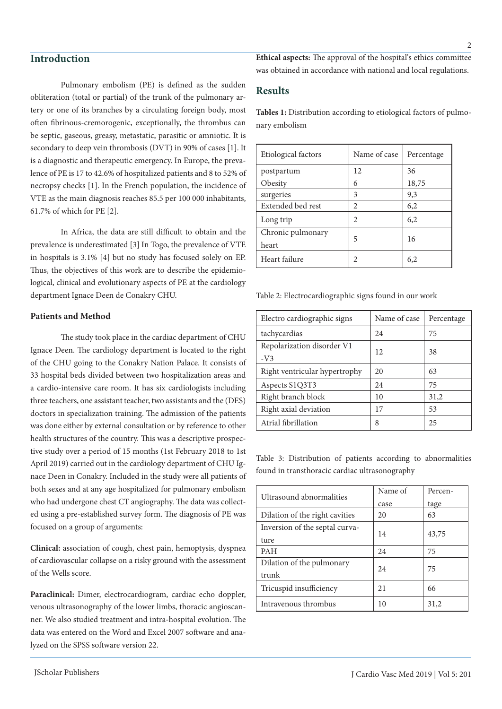### **Introduction**

Pulmonary embolism (PE) is defined as the sudden obliteration (total or partial) of the trunk of the pulmonary artery or one of its branches by a circulating foreign body, most often fibrinous-cremorogenic, exceptionally, the thrombus can be septic, gaseous, greasy, metastatic, parasitic or amniotic. It is secondary to deep vein thrombosis (DVT) in 90% of cases [1]. It is a diagnostic and therapeutic emergency. In Europe, the prevalence of PE is 17 to 42.6% of hospitalized patients and 8 to 52% of necropsy checks [1]. In the French population, the incidence of VTE as the main diagnosis reaches 85.5 per 100 000 inhabitants, 61.7% of which for PE [2].

In Africa, the data are still difficult to obtain and the prevalence is underestimated [3] In Togo, the prevalence of VTE in hospitals is 3.1% [4] but no study has focused solely on EP. Thus, the objectives of this work are to describe the epidemiological, clinical and evolutionary aspects of PE at the cardiology department Ignace Deen de Conakry CHU.

#### **Patients and Method**

The study took place in the cardiac department of CHU Ignace Deen. The cardiology department is located to the right of the CHU going to the Conakry Nation Palace. It consists of 33 hospital beds divided between two hospitalization areas and a cardio-intensive care room. It has six cardiologists including three teachers, one assistant teacher, two assistants and the (DES) doctors in specialization training. The admission of the patients was done either by external consultation or by reference to other health structures of the country. This was a descriptive prospective study over a period of 15 months (1st February 2018 to 1st April 2019) carried out in the cardiology department of CHU Ignace Deen in Conakry. Included in the study were all patients of both sexes and at any age hospitalized for pulmonary embolism who had undergone chest CT angiography. The data was collected using a pre-established survey form. The diagnosis of PE was focused on a group of arguments:

**Clinical:** association of cough, chest pain, hemoptysis, dyspnea of cardiovascular collapse on a risky ground with the assessment of the Wells score.

**Paraclinical:** Dimer, electrocardiogram, cardiac echo doppler, venous ultrasonography of the lower limbs, thoracic angioscanner. We also studied treatment and intra-hospital evolution. The data was entered on the Word and Excel 2007 software and analyzed on the SPSS software version 22.

**Ethical aspects:** The approval of the hospital's ethics committee was obtained in accordance with national and local regulations.

### **Results**

**Tables 1:** Distribution according to etiological factors of pulmonary embolism

| Etiological factors        | Name of case   | Percentage |
|----------------------------|----------------|------------|
| postpartum                 | 12             | 36         |
| Obesity                    | 6              | 18,75      |
| surgeries                  | 3              | 9,3        |
| Extended bed rest          | $\mathfrak{D}$ | 6,2        |
| Long trip                  | 2              | 6,2        |
| Chronic pulmonary<br>heart | 5              | 16         |
| Heart failure              | 2              | 6.2        |

Table 2: Electrocardiographic signs found in our work

| Electro cardiographic signs   | Name of case | Percentage |
|-------------------------------|--------------|------------|
| tachycardias                  | 24           | 75         |
| Repolarization disorder V1    | 12           | 38         |
| $-V3$                         |              |            |
| Right ventricular hypertrophy | 20           | 63         |
| Aspects S1Q3T3                | 24           | 75         |
| Right branch block            | 10           | 31,2       |
| Right axial deviation         | 17           | 53         |
| Atrial fibrillation           | 8            | 25         |

Table 3: Distribution of patients according to abnormalities found in transthoracic cardiac ultrasonography

| Ultrasound abnormalities       | Name of | Percen- |
|--------------------------------|---------|---------|
|                                | case    | tage    |
| Dilation of the right cavities | 20      | 63      |
| Inversion of the septal curva- | 14      | 43,75   |
| ture                           |         |         |
| <b>PAH</b>                     | 24      | 75      |
| Dilation of the pulmonary      | 24      | 75      |
| trunk                          |         |         |
| Tricuspid insufficiency        | 21      | 66      |
| Intravenous thrombus           | 10      | 31,2    |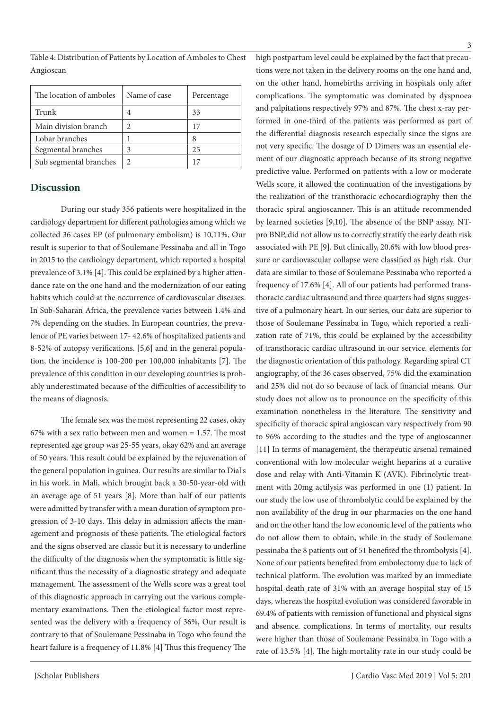Table 4: Distribution of Patients by Location of Amboles to Chest Angioscan

| The location of amboles | Name of case | Percentage |
|-------------------------|--------------|------------|
| Trunk                   |              | 33         |
| Main division branch    |              | 17         |
| Lobar branches          |              | 8          |
| Segmental branches      |              | 25         |
| Sub segmental branches  |              |            |

#### **Discussion**

During our study 356 patients were hospitalized in the cardiology department for different pathologies among which we collected 36 cases EP (of pulmonary embolism) is 10,11%, Our result is superior to that of Soulemane Pessinaba and all in Togo in 2015 to the cardiology department, which reported a hospital prevalence of 3.1% [4]. This could be explained by a higher attendance rate on the one hand and the modernization of our eating habits which could at the occurrence of cardiovascular diseases. In Sub-Saharan Africa, the prevalence varies between 1.4% and 7% depending on the studies. In European countries, the prevalence of PE varies between 17- 42.6% of hospitalized patients and 8-52% of autopsy verifications. [5,6] and in the general population, the incidence is 100-200 per 100,000 inhabitants [7]. The prevalence of this condition in our developing countries is probably underestimated because of the difficulties of accessibility to the means of diagnosis.

The female sex was the most representing 22 cases, okay 67% with a sex ratio between men and women = 1.57. The most represented age group was 25-55 years, okay 62% and an average of 50 years. This result could be explained by the rejuvenation of the general population in guinea. Our results are similar to Dial's in his work. in Mali, which brought back a 30-50-year-old with an average age of 51 years [8]. More than half of our patients were admitted by transfer with a mean duration of symptom progression of 3-10 days. This delay in admission affects the management and prognosis of these patients. The etiological factors and the signs observed are classic but it is necessary to underline the difficulty of the diagnosis when the symptomatic is little significant thus the necessity of a diagnostic strategy and adequate management. The assessment of the Wells score was a great tool of this diagnostic approach in carrying out the various complementary examinations. Then the etiological factor most represented was the delivery with a frequency of 36%, Our result is contrary to that of Soulemane Pessinaba in Togo who found the heart failure is a frequency of 11.8% [4] Thus this frequency The

high postpartum level could be explained by the fact that precautions were not taken in the delivery rooms on the one hand and, on the other hand, homebirths arriving in hospitals only after complications. The symptomatic was dominated by dyspnoea and palpitations respectively 97% and 87%. The chest x-ray performed in one-third of the patients was performed as part of the differential diagnosis research especially since the signs are not very specific. The dosage of D Dimers was an essential element of our diagnostic approach because of its strong negative predictive value. Performed on patients with a low or moderate Wells score, it allowed the continuation of the investigations by the realization of the transthoracic echocardiography then the thoracic spiral angioscanner. This is an attitude recommended by learned societies [9,10]. The absence of the BNP assay, NTpro BNP, did not allow us to correctly stratify the early death risk associated with PE [9]. But clinically, 20.6% with low blood pressure or cardiovascular collapse were classified as high risk. Our data are similar to those of Soulemane Pessinaba who reported a frequency of 17.6% [4]. All of our patients had performed transthoracic cardiac ultrasound and three quarters had signs suggestive of a pulmonary heart. In our series, our data are superior to those of Soulemane Pessinaba in Togo, which reported a realization rate of 71%, this could be explained by the accessibility of transthoracic cardiac ultrasound in our service. elements for the diagnostic orientation of this pathology. Regarding spiral CT angiography, of the 36 cases observed, 75% did the examination and 25% did not do so because of lack of financial means. Our study does not allow us to pronounce on the specificity of this examination nonetheless in the literature. The sensitivity and specificity of thoracic spiral angioscan vary respectively from 90 to 96% according to the studies and the type of angioscanner [11] In terms of management, the therapeutic arsenal remained conventional with low molecular weight heparins at a curative dose and relay with Anti-Vitamin K (AVK). Fibrinolytic treatment with 20mg actilysis was performed in one (1) patient. In our study the low use of thrombolytic could be explained by the non availability of the drug in our pharmacies on the one hand and on the other hand the low economic level of the patients who do not allow them to obtain, while in the study of Soulemane pessinaba the 8 patients out of 51 benefited the thrombolysis [4]. None of our patients benefited from embolectomy due to lack of technical platform. The evolution was marked by an immediate hospital death rate of 31% with an average hospital stay of 15 days, whereas the hospital evolution was considered favorable in 69.4% of patients with remission of functional and physical signs and absence. complications. In terms of mortality, our results were higher than those of Soulemane Pessinaba in Togo with a rate of 13.5% [4]. The high mortality rate in our study could be